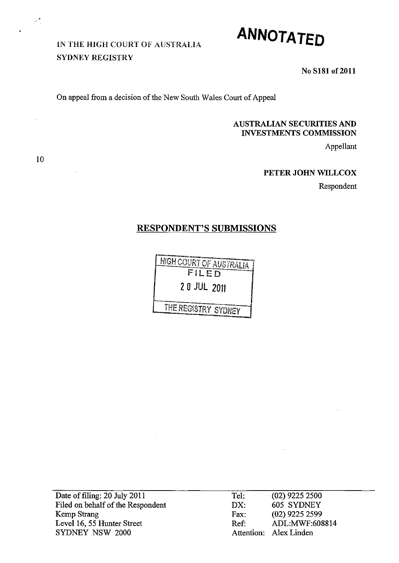# IN THE HIGH COURT OF AUSTRALIA SYDNEY REGISTRY



No S181 of 2011

On appeal from a decision of the New South Wales Court of Appeal

## AUSTRALIAN SECURITIES AND INVESTMENTS COMMISSION

Appellant

### PETER JOHN WILLCOX

Respondent

## RESPONDENT'S SUBMISSIONS

r<br>F-::::T::::::www.com/mandel.com/mandel.com<br>-HIGH COURT OF AUSTRALIA T FILED 2 0 JUL 2011 THE REGISTRY SYDNEY

Date of filing: 20 July 2011 Tel: (02) 9225 2500 Filed on behalf of the Respondent Kemp Strang Level 16, 55 Hunter Street SYDNEY NSW 2000

DX: 605 SYDNEY Fax: (02) 9225 2599 Ref: ADL:MWF:608814 Attention: Alex Linden

10

 $\mathcal{P}^{\bullet}$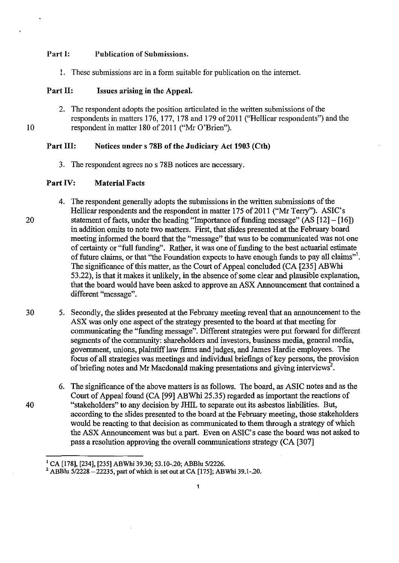#### Part I: Publication of Submissions.

1. These submissions are in a form suitable for publication on the internet.

### Part II: Issues arising in the Appeal.

2. The respondent adopts the position articulated in the written submissions of the respondents in matters 176, 177, 178 and 179 of 2011 ("Hellicar respondents") and the 10 respondent in matter 180 of 2011 ("Mr O'Brien").

## Part III: Notices under s 78B of the Judiciary Act 1903 (Cth)

3. The respondent agrees no s 78B notices are necessary.

### Part IV: Material Facts

- 4. The respondent generally adopts the submissions in the written submissions of the Hellicar respondents and the respondent in matter 175 of 2011 ("Mr Terry"). ASIC's 20 statement of facts, under the heading "Importance of funding message" (AS [12] - [16]) in addition omits to note two matters. First, that slides presented at the February board meeting informed the board that the "message" that was to be communicated was not one of certainty or "full funding". Rather, it was one of funding to the best actuarial estimate of future claims, or that "the Foundation expects to have enough funds to pay all claims"'. The significance of this matter, as the Court of Appeal concluded (CA [235] ABWhi 53.22), is that it makes it unlikely, in the absence of some clear and plausible explanation, that the board would have been asked to approve an ASX Announcement that contained a different "message".
- 30 5. Secondly, the slides presented at the February meeting reveal that an announcement to the ASX was only one aspect of the strategy presented to the board at that meeting for communicating the "funding message". Different strategies were put forward for different segments of the community: shareholders and investors, business media, general media, government, unions, plaintiff law finns and judges, and James Hardie employees. The focus of all strategies was meetings and individual briefings of key persons, the provision of briefing notes and Mr Macdonald making presentations and giving interviews<sup>2</sup>.
- 6. The significance of the above matters is as follows. The board, as ASIC notes and as the Court of Appeal found (CA [99] ABWhi 25.35) regarded as important the reactions of 40 "stakeholders" to any decision by JHIL to separate out its asbestos liabilities. But, according to the slides presented to the board at the February meeting, those stakeholders would be reacting to that decision as communicated to them through a strategy of which the ASX Announcement was but a part. Even on ASIC's case the board was not asked to pass a resolution approving the overall communications strategy (CA [307]

<sup>1</sup> CA [178], [234], [235] ABWhi 39.30; 53.10-.20; ABBIu *5/2226.* 

<sup>2</sup> ABBIu *5/2228* -22235, part of which is set out at CA [175]; ABWhi 39.1-.20.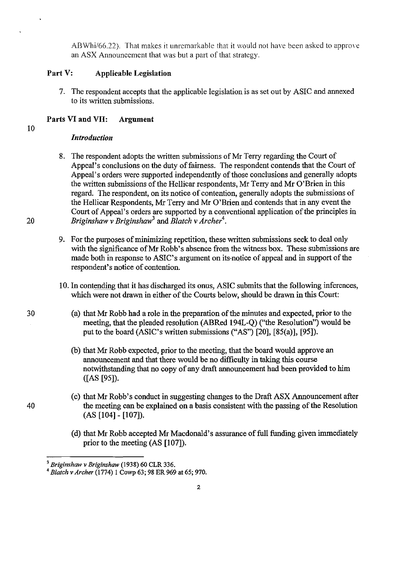ABWhi/66.22). That makes it unremarkable that it would not have been asked to approve an ASX Announcement that was but a part of that strategy.

## Part V: Applicable Legislation

7. The respondent accepts that the applicable legislation is as set out by ASIC and annexed to its written submissions.

## Parts VI and VII: Argument

# 10

## *Introduction*

- 8. The respondent adopts the written submissions of Mr Terry regarding the Court of Appeal's conclusions on the duty of fairness. The respondent contends that the Court of Appeal's orders were supported independently of those conclusions and generally adopts the written submissions of the Hellicar respondents, Mr Terry and Mr O'Brien in this regard. The respondent, on its notice of contention, generally adopts the submissions of the Hellicar Respondents, Mr Terry and Mr O'Brien and contends that in any event the Court of Appeal's orders are supported by a conventional application of the principles in *20 Briginshaw v Briginshaw<sup>3</sup>*and *Blatch* v *Archer4 •* 
	- 9. For the purposes of minimizing repetition, these written submissions seek to deal only with the significance of Mr Robb's absence from the witness box. These submissions are made both in response to ASIC's argument on its-notice of appeal and in support of the respondent's notice of contention.
	- 10. In contending that it has discharged its onus, ASIC submits that the following inferences, which were not drawn in either of the Courts below, should be drawn in this Court:
		- (a) that Mr Robb had a role in the preparation of the minutes and expected, prior to the meeting, that the pleaded resolution (ABRed 194L-Q) ("the Resolution") would be put to the board (ASIC's written submissions ("AS") [20], [85(a)], [95]).
		- (b) that Mr Robb expected, prior to the meeting, that the board would approve an announcement and that there would be no difficulty in taking this course notwithstanding that no copy of any draft announcement had been provided to him ([AS [95]).
		- ( c) that Mr Robb's conduct in suggesting changes to the Draft ASX Announcement after the meeting can be explained on a basis consistent with the passing of the Resolution (AS [104] - [107]).
		- (d) that Mr Robb accepted Mr Macdonald's assurance of full funding given immediately prior to the meeting (AS [107]).

40

<sup>3</sup>*Briginshaw* v *Briginshaw* (1938) 60 CLR 336.

*<sup>4</sup> Blatch* v *Archer* (1774) 1 Cowp 63; 98 ER 969 at 65; 970.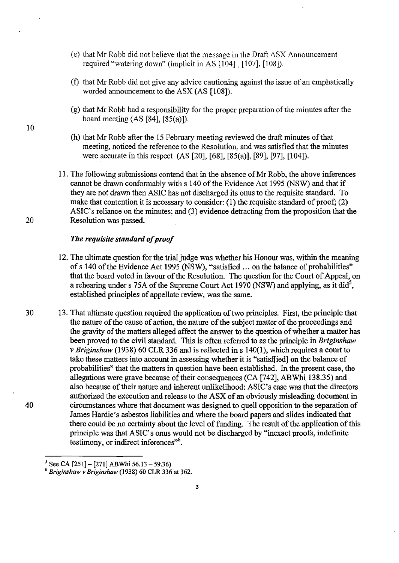- (e) that Mr Robb did not believe that the message in the Draft ASX Announcement required "watering down" (implicit in AS [104] , [107], [108]).
- (f) that Mr Robb did not give any advice cautioning against the issue of an emphatically worded announcement to the ASX (AS [108]).
- $(g)$  that Mr Robb had a responsibility for the proper preparation of the minutes after the board meeting (AS [S4], [S5(a)]).
- (h) that Mr Robb after the 15 February meeting reviewed the draft minutes of that meeting, noticed the reference to the Resolution, and was satisfied that the minutes were accurate in this respect (AS [20], [6S], [S5(a)], [S9], [97], [104]).
- 11. The following submissions contend that in the absence of Mr Robb, the above inferences cannot be drawn conformably with s 140 of the Evidence Act 1995 (NSW) and that if they are not drawn then ASIC has not discharged its onus to the requisite standard. To make that contention it is necessary to consider: (1) the requisite standard of proof; (2) ASIC's reliance on the minutes; and (3) evidence detracting from the proposition that the 20 Resolution was passed.

### *The requisite standard of proof*

- 12. The ultimate question for the trial judge was whether his Honour was, within the meaning of s 140 of the Evidence Act 1995 (NSW), "satisfied .,. on the balance of probabilities" that the board voted in favour of the Resolution. The question for the Court of Appeal, on a rehearing under s 75A of the Supreme Court Act 1970 (NSW) and applying, as it did<sup>5</sup>, established principles of appellate review, was the same.
- 30 13. That ultimate question required the application of two principles. First, the principle that the nature of the cause of action, the nature of the subject matter of the proceedings and the gravity of the matters alleged affect the answer to the question of whether a matter has been proved to the civil standard. This is often referred to as the principle in *Briginshaw v Briginshaw* (193S) 60 CLR 336 and is reflected in s 140(1), which requires a court to take these matters into account in assessing whether it is "satisfIied] on the balance of probabilities" that the matters in question have been established. In the present case, the allegations were grave because of their consequences (CA [742], ABWhi 13S.35) and also because of their nature and inherent unlikelihood: ASIC's case was that the directors authorized the execution and release to the ASX of an obviously misleading document in 40 circumstances where that document was designed to quell opposition to the separation of James Hardie's asbestos liabilities and where the board papers and slides indicated that there could be no certainty about the level of funding. The result of the application of this principle was that ASIC's onus would not be discharged by "inexact proofs, indefinite testimony, or indirect inferences<sup>"6</sup>.

 $<sup>5</sup>$  See CA [251] - [271] ABWhi 56.13 - 59.36)</sup>

*<sup>6</sup> Briginshaw v Briginshaw* (1938) 60 CLR 336 at 362.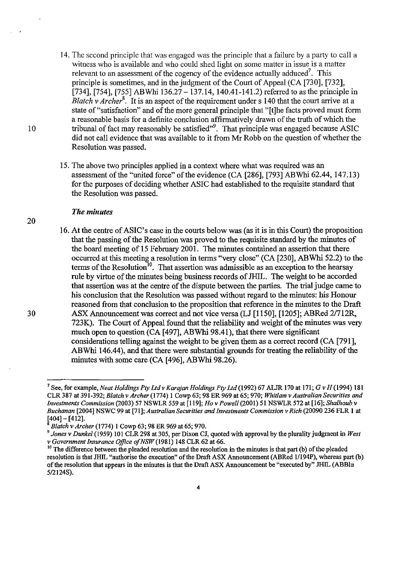- 14. The second principle that was engaged was the principle that a failure by a party to call a witness who is available and who could shed light on some matter in issue is a matter relevant to an assessment of the cogency of the evidence actually adduced<sup>7</sup>. This principle is sometimes, and in the judgment of the Court of Appeal (CA [730], [732], [734], [754], [755] ABWhi  $136.27 - 137.14$ , 140.41-141.2) referred to as the principle in *Blatch v Archer*<sup>8</sup>. It is an aspect of the requirement under s 140 that the court arrive at a state of "satisfaction" and of the more general principle that "[t]he facts proved must fonn a reasonable basis for a definite conclusion affinnatively drawn of the truth of which the 10 tribunal of fact may reasonably be satisfied<sup>,99</sup>. That principle was engaged because ASIC did not call evidence that was available to it from Mr Robb on the question of whether the Resolution was passed.
	- 15. The above two principles applied in a context where what was required was an assessment of the "united force" of the evidence (CA [286], [793] ABWhi 62.44, 147.13) for the purposes of deciding whether ASIC had established to the requisite standard that the Resolution was passed.

### *The minutes*

16. At the centre of ASIC's case in the courts below was (as it is in this Court) the proposition that the passing of the Resolution was proved to the requisite standard by the minutes of the board meeting of 15 February 2001. The minutes contained an assertion that there occurred at this meeting a resolution in tenns "very close" (CA [230], ABWhi 52.2) to the terms of the Resolution<sup>10</sup>. That assertion was admissible as an exception to the hearsay rule by virtue of the minutes being business records of JHIL. The weight to be accorded that assertion was at the centre of the dispute between the parties. The trial judge came to his conclusion that the Resolution was passed without regard to the minutes: his Honour reasoned from that conclusion to the proposition that reference in the minutes to the Draft 30 ASX Announcement was correct and not vice versa (LJ [1150], [1205]; ABRed 21712R, 723K). The Court of Appeal found that the reliability and weight of the minutes was very much open to question (CA [497], ABWhi 98.41), that there were significant considerations telling against the weight to be given them as a correct record (CA [791], ABWhi 146.44), and that there were substantial grounds for treating the reliability of the minutes with some care (CA [496], ABWhi 98.26).

<sup>7</sup> See, for example, *Neat Holdings Ply Ltdv Karajan Holdings Ply Ltd* (1992) 67 ALJR 170 at 171; G v *H{l994) 181*  CLR387 at 391-392; *Blatchv Archer* (1774) 1 Cowp 63; 98 ER 969 at 65; 970; *Whitlam* v *Australian Securities and Investments Commission* (2003) 57 NSWLR 559 at [119]; *Ho* v *Powell* (2001) 51 NSWLR 572 at [16]; *Shalhoub* v *Buchanan* [2004] NSWC 99 at [71]; *Australian Securities and Investments Commission* v *Rich* (20090 236 FLR 1 at [404]- [412].

<sup>8</sup>*Blatch* v *Archer* (1774) 1 Cowp 63; 98 ER 969 at 65; 970.

*<sup>9</sup> Jones* v *Dunkel* (1959) 101 CLR298 at 305, per Dixon CJ, quoted with approval by the plurality judgment in *West*  v *Government Insurance Office ofNSW* (1981) 148 CLR 62 at 66.

<sup>&</sup>lt;sup>10</sup> The difference between the pleaded resolution and the resolution in the minutes is that part (b) of the pleaded resolution is that JHIL "authorise the execution" of the Draft ASX Announcement (ABRed 1/194P), whereas part (b) of the resolution that appears in the minutes is that the Draft ASX Announcement be "executed by" JHIL (ABBlu *5/2124S).*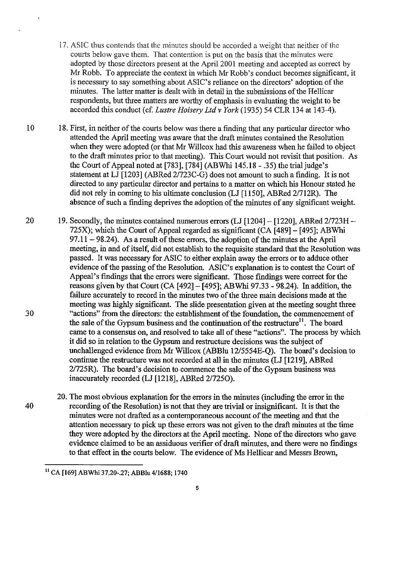- 17. ASIC thus contends that the minutes should be accorded a weight that neither of the courts below gave them. That contention is put on the basis that the minutes were adopted by those directors present at the April 2001 meeting and accepted as correct by Mr Robb. To appreciate the context in which Mr Robb's conduct becomes significant, it is necessary to say something about ASIC's reliance on the directors' adoption of the minutes. The latter matter is dealt with in detail in the submissions of the Hellicar respondents, but three matters are worthy of emphasis in evaluating the weight to be accorded this conduct (cf. *Lustre Hoisery Ltd* v *York* (1935) 54 CLR 134 at 143-4).
- 10 18. First, in neither of the courts below was there a finding that any particular director who attended the April meeting was aware that the draft minutes contained the Resolution when they were adopted (or that Mr Willcox had this awareness when he failed to object to the draft minutes prior to that meeting). This Court would not revisit that position. As the Court of Appeal noted at [783], [784] (ABWhi 145.18 - .35) the trial judge's statement at LJ [1203] (ABRed 2/723C-G) does not amount to such a finding. It is not directed to any particular director and pertains to a matter on which his Honour stated he did not rely in coming to his ultimate conclusion (LJ [1150], ABRed 21712R). The absence of such a fmding deprives the adoption of the minutes of any significant weight.
- 20 19. Secondly, the minutes contained numerous errors (LJ [1204] [1220], ABRed 2/723H -725X); which the Court of Appeal regarded as significant (CA [489] - [495]; ABWhi  $97.11 - 98.24$ ). As a result of these errors, the adoption of the minutes at the April meeting, in and of itself, did not establish to the requisite standard that the Resolution was passed. It was necessary for ASIC to either explain away the errors or to adduce other evidence of the passing of the Resolution. ASIC's explanation is to contest the Court of Appeal's fmdings that the errors were significant. Those fmdings were correct for the reasons given by that Court (CA [492]- [495]; ABWhi 97.33 - 98.24). In addition, the failure accurately to record in the minutes two of the three main decisions made at the meeting was highly significant. The slide presentation given at the meeting sought three 30 "actions" from the directors: the establishment of the foundation, the commencement of the sale of the Gypsum business and the continuation of the restructure<sup>11</sup>. The board came to a consensus on, and resolved to take all of these "actions". The process by which it did so in relation to the Gypsum and restructure decisions was the subject of unchallenged evidence from Mr Willcox (ABBIu 12/5S54E-Q). The board's decision to continue the restructure was not recorded at ail in the minutes (LJ [1219], ABRed 2/725R). The board's decision to commence the sale of the Gypsum business was inaccurately recorded (LJ [1218], ABRed 217250).
- 20. The most obvious explanation for the errors in the minutes (including the error in the 40 recording of the Resolution) is not that they are trivial or insignificant. It is that the minutes were not drafted as a contemporaneous account of the meeting and that the attention necessary to pick up these errors was not given to the draft minutes at the time they were adopted by the directors at the April meeting. None of the directors who gave evidence claimed to be an assiduous verifier of draft minutes, and there were no findings to that effect in the courts below. The evidence of Ms Hellicar and Messrs Brown,

<sup>11</sup> CA [169] ABWhi 37.20-.27; ABBlu 4/1688; 1740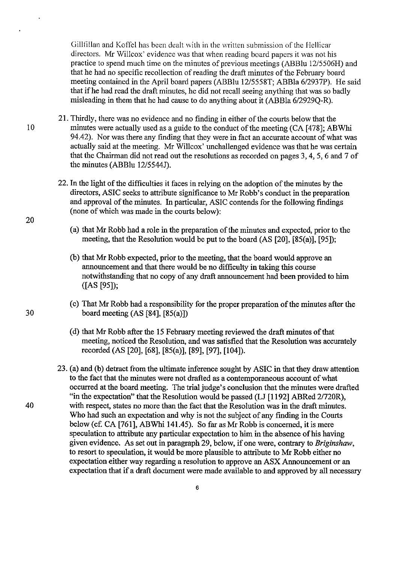Gillfillan and Koffel has been dealt with in the written submission of the Hellicar directors. Mr Willcox' evidence was that when reading board papers it was not his practice to spend much time on the minutes of previous meetings (ABBlu 12/5506H) and that he had no specific recollection of reading the draft minutes of the February board meeting contained in the April board papers (ABBlu 12/5558T; ABBla 6/2937P). He said that if he had read the draft minutes, he did not recall seeing anything that was so badly misleading in them that he had cause to do anything about it (ABBla 6/2929Q-R).

- 21. Thirdly, there was no evidence and no finding in either of the courts below that the 10 minutes were actually used as a guide to the conduct of the meeting (CA [478]; ABWhi 94.42). Nor was there any finding that they were in fact an accurate account of what was actually said at the meeting. Mr Willcox' unchallenged evidence was that he was certain that the Chairman did not read out the resolutions as recorded on pages 3, 4, 5, 6 and 7 of the minutes (ABBlu 12/5544J).
	- 22. In the light of the difficulties it faces in relying on the adoption of the minutes by the directors, ASIC seeks to attribute significance to Mr Robb's conduct in the preparation and approval of the minutes. In particular, ASIC contends for the following fmdings (none of which was made in the courts below):
		- (a) that Mr Robb had a role in the preparation of the minutes and expected, prior to the meeting, that the Resolution would be put to the board (AS [20], [85(a)], [95]);
		- (b) that Mr Robb expected, prior to the meeting, that the board would approve an announcement and that there would be no difficulty in taking this course notwithstanding that no copy of any draft announcement had been provided to him ([AS [95]);
- ( c) That Mr Robb had a responsibility for the proper preparation of the minutes after the 30 board meeting (AS [84], [85(a)])
	- (d) that Mr Robb after the 15 February meeting reviewed the draft minutes of that meeting, noticed the Resolution, and was satisfied that the Resolution was accurately recorded (AS [20], [68], [85(a)], [89], [97], [104]).
- 23. (a) and (b) detract from the ultimate inference sought by ASIC in that they draw attention to the fact that the minutes were not drafted as a contemporaneous account of what occurred at the board meeting. The trial judge's conclusion that the minutes were drafted "in the expectation" that the Resolution would be passed (LJ [1192] ABRed 2/720R), 40 with respect, states no more than the fact that the Resolution was in the draft minutes. Who had such an expectation and why is not the subject of any finding in the Courts below (cf. CA [761], ABWhi 141.45). So far as Mr Robb is concerned, it is mere speculation to attribute any particular expectation to him in the absence of his having given evidence. As set out in paragraph 29, below, if one were, contrary to *Briginshaw,*  to resort to speculation, it would be more plausible to attribute to Mr Robb either no expectation either way regarding a resolution to approve an ASX Announcement or an expectation that if a draft document were made available to and approved by **all** necessary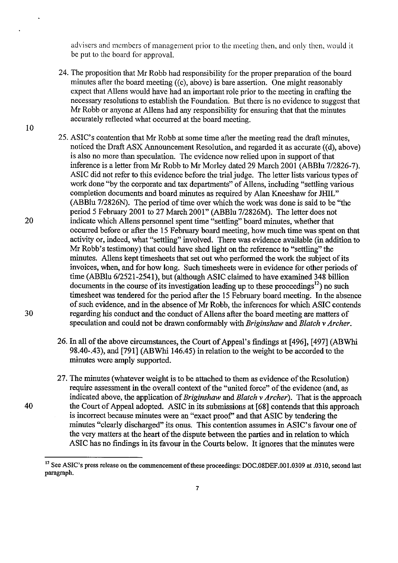advisers and members of management prior to the meeting then, and only then, would it be put to the board for approval,

- 24. The proposition that Mr Robb had responsibility for the proper preparation of the board minutes after the board meeting  $(6c)$ , above) is bare assertion. One might reasonably expect fhat Allens would have had an important role prior to the meeting in crafting the necessary resolutions to establish the Foundation, But there is no evidence to suggest fhat Mr Robb or anyone at Aliens had any responsibility for ensuring that fhat the minutes accurately reflected what occurred at fhe board meeting,
- 25. ASIC's contention fhat Mr Robb at some time after fhe meeting read fhe draft minutes, noticed the Draft ASX Announcement Resolution, and regarded it as accurate  $((d)$ , above) is also no more fhan speculation. The evidence now relied upon in support of fhat inference is a letter from Mr Robb to Mr Morley dated 29 March 2001 (ABBlu 7/2826-7). ASIC did not refer to this evidence before fhe trial judge. The letter lists various types of work done "by the corporate and tax departments" of Allens, including "settling various completion documents and board minutes as required by Alan Kneeshaw for JHIL" (ABBlu 7/2826N). The period of time over which fhe work was done is said to be "the period 5 February 2001 to 27 March 2001" (ABBlu 7/2826M). The letter does not 20 indicate which Aliens personnel spent time "settling" board minutes, whefher fhat occurred before or after fhe 15 February board meeting, how much time was spent on fhat activity or, indeed, what "settling" involved. There was evidence available (in addition to Mr Robb's testimony) fhat could have shed light on the reference to "settling" the minutes. Aliens kept timesheets fhat set out who performed fhe work fhe subject of its invoices, when, and for how long. Such timesheets were in evidence for other periods of time (ABBlu 6/2521-2541), but (alfhough ASIC claimed to have examined 348 billion documents in the course of its investigation leading up to these proceedings<sup>12</sup>) no such timesheet was tendered for fhe period after the 15 February board meeting. In the absence of such evidence, and in the absence of Mr Robb, the inferences for which ASIC contends 30 regarding his conduct and the conduct of Aliens after the board meeting are matters of speculation and could not be drawn conformably with *Briginshaw* and *Blatch* v *Archer.* 
	- 26. In all of the above circumstances, the Court of Appeal's findings at [496], [497] (ABWhi 98.40-.43), and [791] (ABWhi 146.45) in relation to the weight to be accorded to the minutes were amply supported.
- 27. The minutes (whatever weight is to be attached to them as evidence of the Resolution) require assessment in the overall context of the "united force" of the evidence (and, as indicated above, the application of *Briginshaw* and *Blatch* v *Archer).* That is the approach 40 the Court of Appeal adopted. ASIC in its submissions at [68] contends that this approach is incorrect because minutes were an "exact proof' and that ASIC by tendering the minutes "clearly discharged" its onus. This contention assumes in ASIC's favour one of the very matters at the heart of the dispute between the parties and in relation to which ASIC has no fmdings in its favour in the Courts below. It ignores that the minutes were

<sup>&</sup>lt;sup>12</sup> See ASIC's press release on the commencement of these proceedings: DOC.08DEF.001.0309 at .0310, second last paragraph.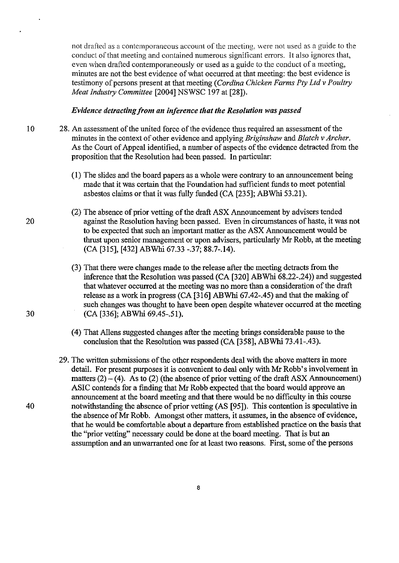not drafted as a contemporaneous account of the meeting, were not used as a guide to the conduct of that meeting and contained numerous significant errors, It also ignores that, even when drafted contemporaneously or used as a guide to the conduct of a meeting, minutes are not the best evidence of what occurred at that meeting: the best evidence is testimony of persons present at that meeting *(Cordina Chicken Farms Pty Ltd* v *Poultry Meat Industry Committee* [2004] NSWSC 197 at [28]),

### *Evidence detracting from an inference that the Resolution was passed*

- 10 28, An assessment of the united force of the evidence thus required an assessment of the minutes in the context of other evidence and applying *Briginshaw* and *Blatch* v *Archer,*  As the Court of Appeal identified, a number of aspects of the evidence detracted from the proposition that the Resolution had been passed, In particular:
	- (1) The slides and the board papers as a whole were contrary to an announcement being made that it was certain that the Foundation had sufficient funds to meet potential asbestos claims or that it was fully funded (CA [235]; ABWhi 5321),
	- (2) The absence of prior vetting of the draft ASX Announcement by advisers tended against the Resolution having been passed, Even in circumstances of haste, it was not to be expected that such an important matter as the ASX Announcement would be thrust upon senior management or upon advisers, particularly Mr Robb, at the meeting (CA [315], [432] ABWhi 67.33 -.37; 88.7-.14).
	- (3) That there were changes made to the release after the meeting detracts from the inference that the Resolution was passed (CA [320] ABWhi 68.22-.24)) and suggested that whatever occurred at the meeting was no more than a consideration of the draft release as a work in progress (CA [316] ABWhi 67.42-.45) and that the making of such changes was thought to have been open despite whatever occurred at the meeting (CA [336]; ABWhi 69.45-51),
	- (4) That Aliens suggested changes after the meeting brings considerable pause to the conclusion that the Resolution was passed (CA [358], ABWhi 73.41-.43),
- 29. The written submissions of the other respondents deal with the above matters in more detail. For present purposes it is convenient to deal only with Mr Robb's involvement in matters  $(2) - (4)$ . As to  $(2)$  (the absence of prior vetting of the draft ASX Announcement) ASIC contends for a finding that Mr Robb expected that the board would approve an announcement at the board meeting and that there would be no difficulty in this course 40 notwithstanding the absence of prior vetting (AS [95]). This contention is speculative in the absence of Mr Robb. Amongst other matters, it assumes, in the absence of evidence, that he would be comfortable about a departure from established practice on the basis that the "prior vetting" necessary could be done at the board meeting. That is but an assumption and an unwarranted one for at least two reasons. First, some of the persons

20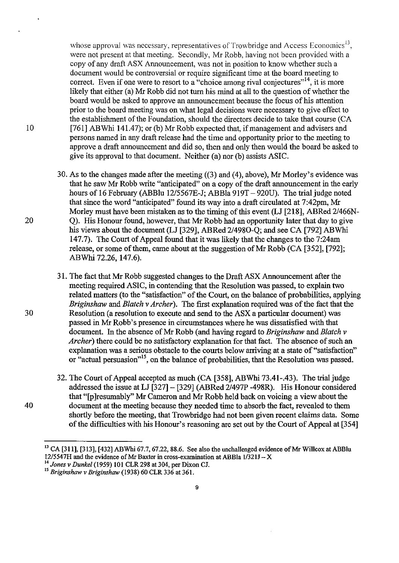whose approval was necessary, representatives of Trowbridge and Access Economics<sup>13</sup>, were not present at that meeting. Secondly, Mr Robb, having not been provided with a copy of any draft ASX Announcement, was not in position to know whether such a document would be controversial or require significant time at the board meeting to correct. Even if one were to resort to a "choice among rival conjectures"<sup>14</sup>, it is more likely that either (a) Mr Robb did not tum his mind at all to the question of whether the board would be asked to approve an armouncement because the focus of his attention prior to the board meeting was on what legal decisions were necessary to give effect to the establishment of the Foundation, should the directors decide to take that course (CA 10 [761] ABWhi 141.47); or (b) Mr Robb expected that, if management and advisers and persons named in any draft release had the time and opportunity prior to the meeting to approve a draft announcement and did so, then and only then would the board be asked to give its approval to that document. Neither (a) nor (b) assists ASIC.

30. As to the changes made after the meeting ((3) and (4), above), Mr Morley's evidence was that he saw Mr Robb write "anticipated" on a copy of the draft armouncement in the early hours of 16 February (ABBlu 12/5567E-J; ABBla 919T - 920U). The trial judge noted that since the word "anticipated" found its way into a draft circulated at 7:42pm, Mr Morley must have been mistaken as to the timing of this event (LJ [218], ABRed 2/466N-20 Q). His Honour found, however, that Mr Robb had an opportunity later that day to give his views about the document (LJ [329], ABRed 2/4980-Q; and see CA [792] ABWhi 147.7). The Court of Appeal found that it was likely that the changes to the 7:24am release, or some of them, came about at the suggestion of Mr Robb (CA [352], [792]; ABWhi 72.26,147.6).

31. The fact that Mr Robb suggested changes to the Draft ASX Announcement after the meeting required ASIC, in contending that the Resolution was passed, to explain two related matters (to the "satisfaction" of the Court, on the balance of probabilities, applying *Briginshaw* and *Blatch* v *Archer).* The first explanation required was of the fact that the 30 Resolution (a resolution to execute and send to the ASX a particular document) was passed in Mr Robb's presence in circumstances where he was dissatisfied with that document. In the absence ofMr Robb (and having regard to *Briginshaw* and *Blatch* v *Archer)* there could be no satisfactory explanation for that fact. The absence of such an explanation was a serious obstacle to the courts below arriving at a state of "satisfaction" or "actual persuasion"<sup>15</sup>, on the balance of probabilities, that the Resolution was passed.

32. The Court of Appeal accepted as much (CA [358], ABWhi 73.41-.43). The trial judge addressed the issue at LJ [327] - [329] (ABRed 2/497P -498R). His Honour considered that "[p ]resumably" Mr Cameron and Mr Robb held back on voicing a view about the 40 document at the meeting because they needed time to absorb the fact, revealed to them shortly before the meeting, that Trowbridge had not been given recent claims data. Some of the difficulties with his Honour's reasoning are set out by the Court of Appeal at [354]

 $^{13}$  CA [311], [313], [432] ABWhi 67.7, 67.22, 88.6. See also the unchallenged evidence of Mr Willcox at ABBlu *12/5547H* and the evidence of Mr Baxter in cross-examination at ABBIa *1/321J* - X <sup>14</sup>*Jones* v *Dunkel* (1959) 101 CLR 298 at 304, per Dixon *CI.* 

IS *Briginshaw* v *Briginshaw* (1938) 60 CLR 336 at 361.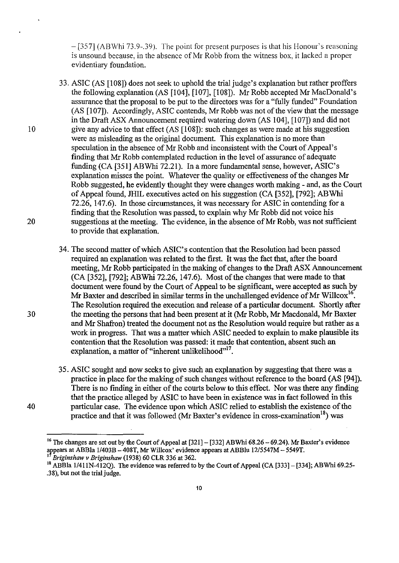- [357] (ABWhi 73.9-.39). The point for present purposes is that his Honour's reasoning is unsound because, in the absence of Mr Robb from the witness box, it lacked a proper evidentiary foundation.

- 33. ASIC (AS [108]) does not seek to uphold the trial judge's explanation but rather proffers the following explanation (AS [104], [107], [108]). Mr Robb accepted Mr MacDonald's assurance that the proposal to be put to the directors was for a "fully funded" Foundation (AS [107]). Accordingly, ASIC contends, Mr Robb was not of the view that the message in the Draft ASX Announcement required watering down (AS 104], [107]) and did not 10 give any advice to that effect (AS [108]): such changes as were made at his suggestion were as misleading as the original document. This explanation is no more than speculation in the absence of Mr Robb and inconsistent with the Court of Appeal's finding that Mr Robb contemplated reduction in the level of assurance of adequate funding (CA [351] ABWhi 72.21). In a more fundamental sense, however, ASIC's explanation misses the point. Whatever the quality or effectiveness of the changes Mr Robb suggested, he evidently thought they were changes worth making - and, as the Court of Appeal found, JHIL executives acted on his suggestion (CA [352], [792]; ABWhi 72.26,147.6). In those circumstances, it was necessary for ASIC in contending for a finding that the Resolution was passed, to explain why Mr Robb did not voice his 20 suggestions at the meeting. The evidence, in the absence of Mr Robb, was not sufficient to provide that explanation.
- 34. The second matter of which ASIC's contention that the Resolution had been passed required an explanation was related to the first. It was the fact that, after the board meeting, Mr Robb participated in the making of changes to the Draft ASX Announcement (CA [352], [792]; ABWhi 72.26,147.6). Most of the changes that were made to that document were found by the Court of Appeal to be significant, were accepted as such by Mr Baxter and described in similar terms in the unchallenged evidence of Mr Willcox<sup>16</sup>. The Resolution required the execution and release of a particular document. Shortly after 30 the meeting the persons that had been present at it (Mr Robb, Mr Macdonald, Mr Baxter and Mr Shafron) treated the document not as the Resolution would require but rather as a work in progress. That was a matter which ASIC needed to explain to make plausible its contention that the Resolution was passed: it made that contention, absent such an explanation, a matter of "inherent unlikelihood"<sup>17</sup>.
- 35. ASIC sought and now seeks to give such an explanation by suggesting that there was a practice in place for the making of such changes without reference to the board (AS [94]). There is no fmding in either of the courts below to this effect. Nor was there any finding that the practice alleged by ASIC to have been in existence was in fact followed in this 40 particular case. The evidence upon which ASIC relied to establish the existence of the practice and that it was followed (Mr Baxter's evidence in cross-examination<sup>18</sup>) was

<sup>&</sup>lt;sup>16</sup> The changes are set out by the Court of Appeal at  $[321] - [332]$  ABWhi 68.26 - 69.24). Mr Baxter's evidence arpears at ABBla 1I403B - 408T, Mr Willcox' evidence appears at ABBIu *l2/5547M* - 5549T. <sup>1</sup>*Briginshaw v Briginshaw* (1938) 60 CLR 336 at 362.

<sup>&</sup>lt;sup>18</sup> ABBla 1/411N-412O). The evidence was referred to by the Court of Appeal (CA [333] - [334]; ABWhi 69.25-.3 8), but not the trial judge.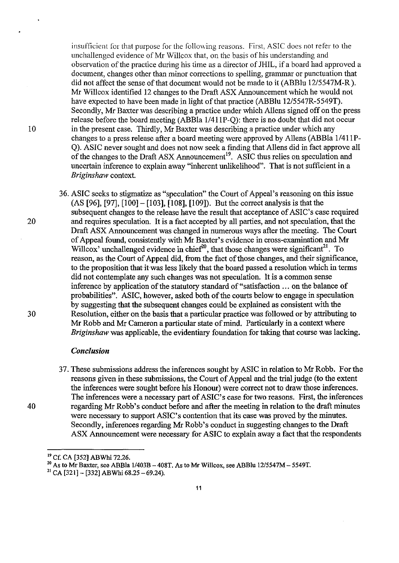insufficient for that purpose for the following reasons. First, ASIC does not refer to the unchallenged evidence of Mr Willcox that, on the basis of his understanding and observation of the practice during his time as a director of JHIL, if a board had approved a document, changes other than minor corrections to spelling, grammar or punctuation that did not affect the sense of that document would not be made to it (ABBlu 12/5547M-R). Mr Willcox identified 12 changes to the Draft ASX Announcement which he would not have expected to have been made in light of that practice (ABBlu 12/5547R-5549T). Secondly, Mr Baxter was describing a practice under which Allens signed off on the press release before the board meeting (ABBla 1/411P-Q): there is no doubt that did not occur<br>in the present case. Thirdly, Mr Baxter was describing a practice under which any<br>change to a present case when the present meeting ap changes to a press release after a board meeting were approved by Allens (ABBla 1/411P-Q). ASIC never sought and does not now seek a fmding that Allens did in fact approve all of the changes to the Draft ASX Announcement<sup>19</sup>. ASIC thus relies on speculation and uncertain inference to explain away "inherent unlikelihood". That is not sufficient in a *Briginshaw* context.

36. ASIC seeks to stigmatize as "speculation" the Court of Appeal's reasoning on this issue (AS [96], [97], [100] - [103], [108], [109]). But the correct analysis is that the subsequent changes to the release have the result that acceptance of ASIC's case required 20 and requires speculation. It is a fact accepted by all parties, and not speculation, that the Draft ASX Announcement was changed in numerous ways after the meeting. The Court of Appeal found, consistently with Mr Baxter's evidence in cross-examination and Mr Willcox' unchallenged evidence in chief<sup>20</sup>, that those changes were significant<sup>21</sup>. To reason, as the Court of Appeal did, from the fact of those changes, and their significance, to the proposition that-it-was less likely that the board passed a resolution which in terms did not contemplate any such changes was not speculation. It is a common sense inference by application of the statutory standard of "satisfaction ... on the balance of probabilities". ASIC, however, asked both of the courts below to engage in speculation by suggesting that the subsequent changes could be explained as consistent with the 30 Resolution, either on the basis that a particular practice was followed or by attributing to Mr Robb and Mr Cameron a particular state of mind. Particularly in a context where *Briginshaw* was applicable, the evidentiary foundation for taking that course was lacking.

### *Conclusion*

37. These submissions address the inferences sought by ASIC in relation to Mr Robb. For the reasons given in these submissions, the Court of Appeal and the trial judge (to the extent the inferences were sought before his Honour) were correct not to draw those inferences. The inferences were a necessary part of ASIC's case for two reasons. First, the inferences 40 regarding Mr Robb's conduct before and after the meeting in relation to the draft minutes were necessary to support ASIC's contention that its case was proved by the minutes. Secondly, inferences regarding Mr Robb's conduct in suggesting changes to the Draft ASX Announcement were necessary for ASIC to explain away a fact that the respondents

<sup>19</sup> Cf. CA [352] ABWhi 72.26.

<sup>20</sup> As to Mr Baxter, see ABBIa *1/403B* - 408T. As to Mr Willcox, see ABBlu *12/5547M* - 5549T.

<sup>&</sup>lt;sup>21</sup> CA [321] - [332] ABWhi 68.25 - 69.24).